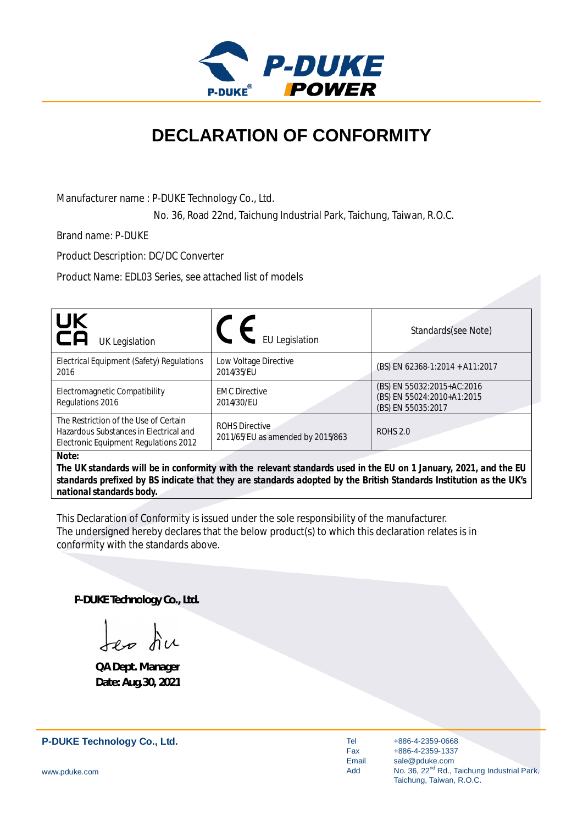

## **DECLARATION OF CONFORMITY**

Manufacturer name : P-DUKE Technology Co., Ltd.

No. 36, Road 22nd, Taichung Industrial Park, Taichung, Taiwan, R.O.C.

Brand name: P-DUKE

Product Description: DC/DC Converter

Product Name: EDL03 Series, see attached list of models

| UK<br>CA<br><b>UK Legislation</b>                                                                                        | <b>EU Legislation</b>                                      | Standards(see Note)                                                                                                |
|--------------------------------------------------------------------------------------------------------------------------|------------------------------------------------------------|--------------------------------------------------------------------------------------------------------------------|
| Electrical Equipment (Safety) Regulations<br>2016                                                                        | Low Voltage Directive<br>2014/35/EU                        | (BS) EN 62368-1:2014 + A11:2017                                                                                    |
| Electromagnetic Compatibility<br>Regulations 2016                                                                        | <b>EMC Directive</b><br>2014/30/EU                         | (BS) EN 55032:2015+AC:2016<br>(BS) EN 55024:2010+A1:2015<br>(BS) EN 55035:2017                                     |
| The Restriction of the Use of Certain<br>Hazardous Substances in Electrical and<br>Electronic Equipment Regulations 2012 | <b>ROHS Directive</b><br>2011/65/EU as amended by 2015/863 | <b>ROHS 2.0</b>                                                                                                    |
| Note:                                                                                                                    |                                                            | The IIK standards will be in conformity with the relevant standards used in the ELL on 1 January 2021, and the ELL |

*The UK standards will be in conformity with the relevant standards used in the EU on 1 January, 2021, and the EU standards prefixed by BS indicate that they are standards adopted by the British Standards Institution as the UK's national standards body.*

This Declaration of Conformity is issued under the sole responsibility of the manufacturer. The undersigned hereby declares that the below product(s) to which this declaration relates is in conformity with the standards above.

**P-DUKE Technology Co., Ltd.**

Jep du

**QA Dept. Manager Date: Aug.30, 2021**

**P-DUKE Technology Co., Ltd.**

Tel Fax Email Add

+886-4-2359-0668 +886-4-2359-1337 sale@pduke.com No. 36, 22<sup>nd</sup> Rd., Taichung Industrial Park, Taichung, Taiwan, R.O.C.